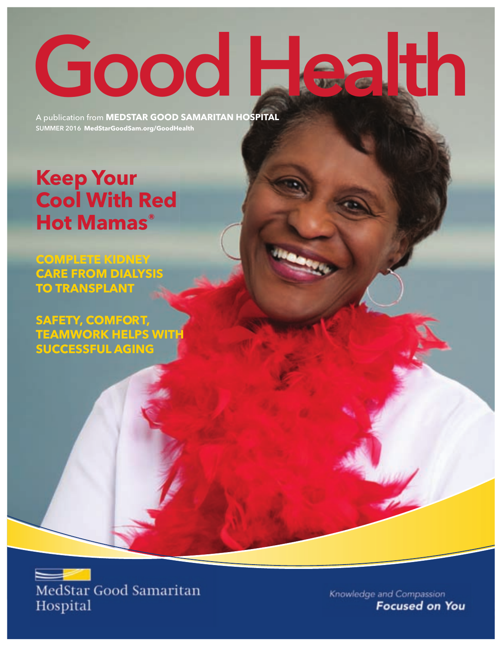# Good Health

A publication from **MedStar good SaMaritan hoSpital** SUMMER 2016 **MedStargoodSam.org/goodhealth**

### **Keep Your Cool With Red hot Mamas®**

**CoMplete KidneY Care FroM dialYSiS to tranSplant**

**SaFetY, CoMFort, teaMWorK helpS With SuCCeSSFul aging**



Knowledge and Compassion **Focused on You**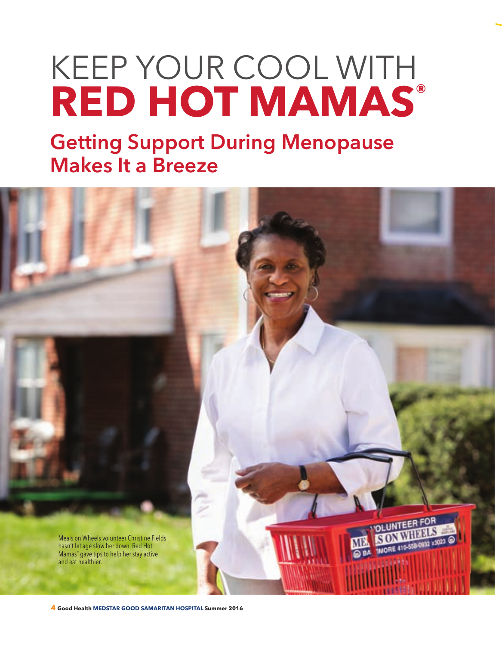## KEEP YOUR COOL WITH **RED HoT MAMAS®**

Getting Support During Menopause Makes It a Breeze

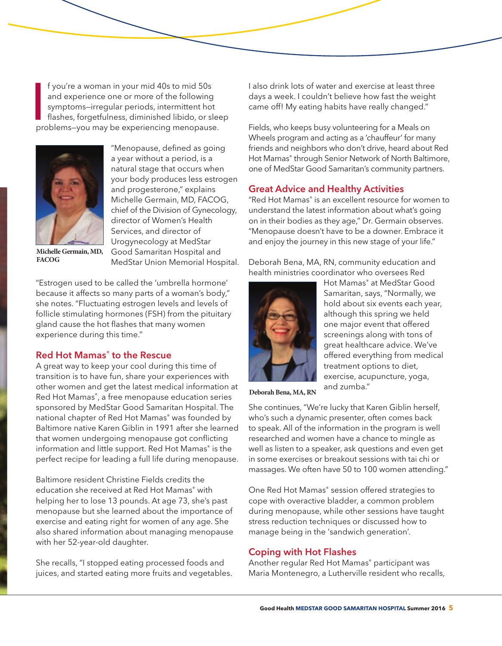I fyou're a woman in your mid 40s to mid 50s<br>and experience one or more of the following<br>symptoms-irregular periods, intermittent hot<br>flashes, forgetfulness, diminished libido, or slee<br>problems-you may be experiencing meno f you're a woman in your mid 40s to mid 50s and experience one or more of the following symptoms—irregular periods, intermittent hot flashes, forgetfulness, diminished libido, or sleep



"Menopause, defined as going a year without a period, is a natural stage that occurs when your body produces less estrogen and progesterone," explains Michelle Germain, MD, FACOG, chief of the Division of Gynecology, director of Women's Health Services, and director of Urogynecology at MedStar Good Samaritan Hospital and MedStar Union Memorial Hospital.

**Michelle Germain, MD, FACOG**

"Estrogen used to be called the 'umbrella hormone' because it affects so many parts of a woman's body," she notes. "Fluctuating estrogen levels and levels of follicle stimulating hormones (FSH) from the pituitary gland cause the hot flashes that many women experience during this time."

#### Red Hot Mamas<sup>®</sup> to the Rescue

A great way to keep your cool during this time of transition is to have fun, share your experiences with other women and get the latest medical information at Red Hot Mamas®, a free menopause education series sponsored by MedStar Good Samaritan Hospital. The national chapter of Red Hot Mamas® was founded by Baltimore native Karen Giblin in 1991 after she learned that women undergoing menopause got conflicting information and little support. Red Hot Mamas® is the perfect recipe for leading a full life during menopause.

Baltimore resident Christine Fields credits the education she received at Red Hot Mamas<sup>®</sup> with helping her to lose 13 pounds. At age 73, she's past menopause but she learned about the importance of exercise and eating right for women of any age. She also shared information about managing menopause with her 52-year-old daughter.

She recalls, "I stopped eating processed foods and juices, and started eating more fruits and vegetables. I also drink lots of water and exercise at least three days a week. I couldn't believe how fast the weight came off! My eating habits have really changed."

Fields, who keeps busy volunteering for a Meals on Wheels program and acting as a 'chauffeur' for many friends and neighbors who don't drive, heard about Red Hot Mamas® through Senior Network of North Baltimore, one of MedStar Good Samaritan's community partners.

#### Great Advice and Healthy Activities

"Red Hot Mamas<sup>®</sup> is an excellent resource for women to understand the latest information about what's going on in their bodies as they age," Dr. Germain observes. "Menopause doesn't have to be a downer. Embrace it and enjoy the journey in this new stage of your life."

Deborah Bena, MA, RN, community education and health ministries coordinator who oversees Red



Hot Mamas® at MedStar Good Samaritan, says, "Normally, we hold about six events each year, although this spring we held one major event that offered screenings along with tons of great healthcare advice. We've offered everything from medical treatment options to diet, exercise, acupuncture, yoga, and zumba."

**Deborah Bena, MA, RN**

She continues, "We're lucky that Karen Giblin herself, who's such a dynamic presenter, often comes back to speak. All of the information in the program is well researched and women have a chance to mingle as well as listen to a speaker, ask questions and even get in some exercises or breakout sessions with tai chi or massages. We often have 50 to 100 women attending."

One Red Hot Mamas<sup>®</sup> session offered strategies to cope with overactive bladder, a common problem during menopause, while other sessions have taught stress reduction techniques or discussed how to manage being in the 'sandwich generation'.

#### Coping with Hot Flashes

Another regular Red Hot Mamas® participant was Maria Montenegro, a Lutherville resident who recalls,